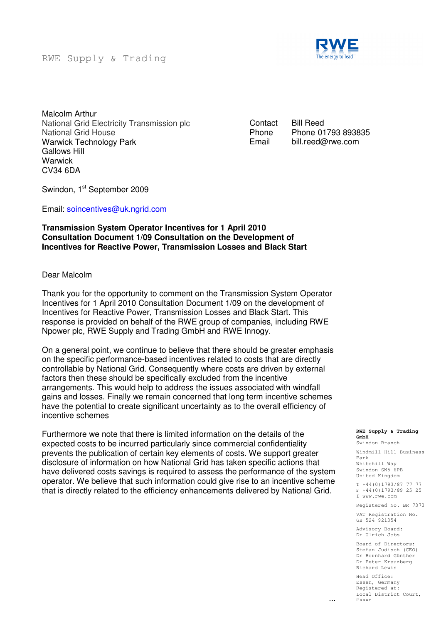RWE Supply & Trading



Malcolm Arthur National Grid Electricity Transmission plc National Grid House Warwick Technology Park Gallows Hill **Warwick** CV34 6DA

**Contact** Phone Email

Bill Reed Phone 01793 893835 bill.reed@rwe.com

Swindon, 1<sup>st</sup> September 2009

Email: soincentives@uk.ngrid.com

### **Transmission System Operator Incentives for 1 April 2010 Consultation Document 1/09 Consultation on the Development of Incentives for Reactive Power, Transmission Losses and Black Start**

#### Dear Malcolm

Thank you for the opportunity to comment on the Transmission System Operator Incentives for 1 April 2010 Consultation Document 1/09 on the development of Incentives for Reactive Power, Transmission Losses and Black Start. This response is provided on behalf of the RWE group of companies, including RWE Npower plc, RWE Supply and Trading GmbH and RWE Innogy.

On a general point, we continue to believe that there should be greater emphasis on the specific performance-based incentives related to costs that are directly controllable by National Grid. Consequently where costs are driven by external factors then these should be specifically excluded from the incentive arrangements. This would help to address the issues associated with windfall gains and losses. Finally we remain concerned that long term incentive schemes have the potential to create significant uncertainty as to the overall efficiency of incentive schemes

Furthermore we note that there is limited information on the details of the expected costs to be incurred particularly since commercial confidentiality prevents the publication of certain key elements of costs. We support greater disclosure of information on how National Grid has taken specific actions that have delivered costs savings is required to assess the performance of the system operator. We believe that such information could give rise to an incentive scheme that is directly related to the efficiency enhancements delivered by National Grid.

#### **RWE Supply & Trading GmbH**

Swindon Branch Windmill Hill Business

Park Whitehill Way Swindon SN5 6PB United Kingdom

T +44(0)1793/87 77 77 F +44(0)1793/89 25 25 I www.rwe.com

Registered No. BR 7373

VAT Registration No. GB 524 921354

Advisory Board: Dr Ulrich Jobs

Board of Directors: Stefan Judisch (CEO) Dr Bernhard Günther Dr Peter Kreuzberg Richard Lewis

Head Office: Essen, Germany Registered at: Local District Court, Essen

...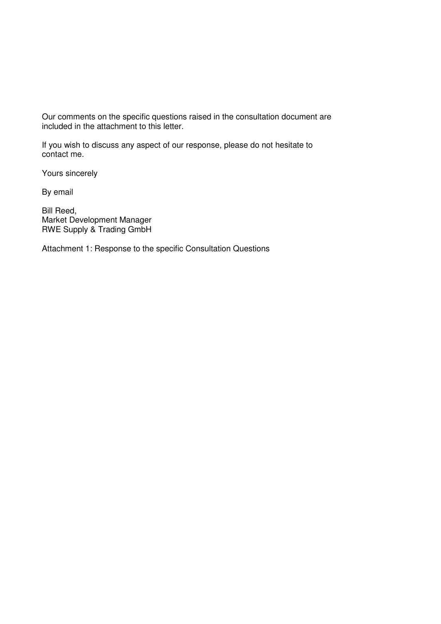Our comments on the specific questions raised in the consultation document are included in the attachment to this letter.

If you wish to discuss any aspect of our response, please do not hesitate to contact me.

Yours sincerely

By email

Bill Reed, Market Development Manager RWE Supply & Trading GmbH

Attachment 1: Response to the specific Consultation Questions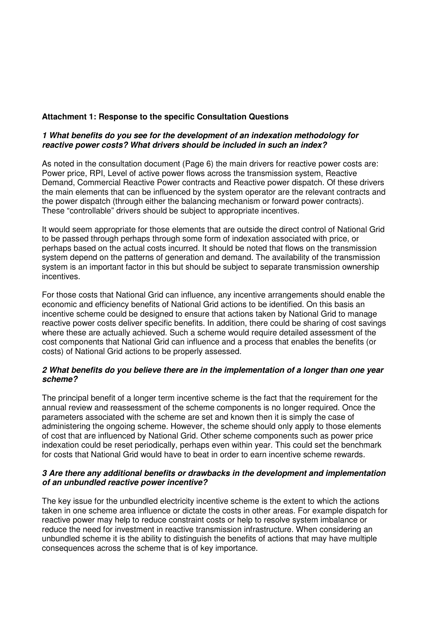# **Attachment 1: Response to the specific Consultation Questions**

# **1 What benefits do you see for the development of an indexation methodology for reactive power costs? What drivers should be included in such an index?**

As noted in the consultation document (Page 6) the main drivers for reactive power costs are: Power price, RPI, Level of active power flows across the transmission system, Reactive Demand, Commercial Reactive Power contracts and Reactive power dispatch. Of these drivers the main elements that can be influenced by the system operator are the relevant contracts and the power dispatch (through either the balancing mechanism or forward power contracts). These "controllable" drivers should be subject to appropriate incentives.

It would seem appropriate for those elements that are outside the direct control of National Grid to be passed through perhaps through some form of indexation associated with price, or perhaps based on the actual costs incurred. It should be noted that flows on the transmission system depend on the patterns of generation and demand. The availability of the transmission system is an important factor in this but should be subject to separate transmission ownership incentives.

For those costs that National Grid can influence, any incentive arrangements should enable the economic and efficiency benefits of National Grid actions to be identified. On this basis an incentive scheme could be designed to ensure that actions taken by National Grid to manage reactive power costs deliver specific benefits. In addition, there could be sharing of cost savings where these are actually achieved. Such a scheme would require detailed assessment of the cost components that National Grid can influence and a process that enables the benefits (or costs) of National Grid actions to be properly assessed.

# **2 What benefits do you believe there are in the implementation of a longer than one year scheme?**

The principal benefit of a longer term incentive scheme is the fact that the requirement for the annual review and reassessment of the scheme components is no longer required. Once the parameters associated with the scheme are set and known then it is simply the case of administering the ongoing scheme. However, the scheme should only apply to those elements of cost that are influenced by National Grid. Other scheme components such as power price indexation could be reset periodically, perhaps even within year. This could set the benchmark for costs that National Grid would have to beat in order to earn incentive scheme rewards.

# **3 Are there any additional benefits or drawbacks in the development and implementation of an unbundled reactive power incentive?**

The key issue for the unbundled electricity incentive scheme is the extent to which the actions taken in one scheme area influence or dictate the costs in other areas. For example dispatch for reactive power may help to reduce constraint costs or help to resolve system imbalance or reduce the need for investment in reactive transmission infrastructure. When considering an unbundled scheme it is the ability to distinguish the benefits of actions that may have multiple consequences across the scheme that is of key importance.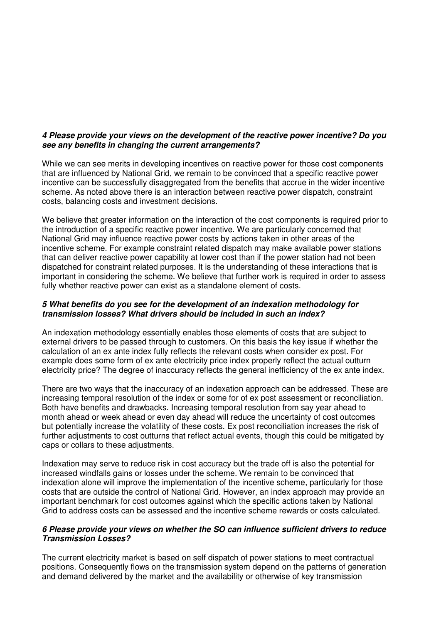# **4 Please provide your views on the development of the reactive power incentive? Do you see any benefits in changing the current arrangements?**

While we can see merits in developing incentives on reactive power for those cost components that are influenced by National Grid, we remain to be convinced that a specific reactive power incentive can be successfully disaggregated from the benefits that accrue in the wider incentive scheme. As noted above there is an interaction between reactive power dispatch, constraint costs, balancing costs and investment decisions.

We believe that greater information on the interaction of the cost components is required prior to the introduction of a specific reactive power incentive. We are particularly concerned that National Grid may influence reactive power costs by actions taken in other areas of the incentive scheme. For example constraint related dispatch may make available power stations that can deliver reactive power capability at lower cost than if the power station had not been dispatched for constraint related purposes. It is the understanding of these interactions that is important in considering the scheme. We believe that further work is required in order to assess fully whether reactive power can exist as a standalone element of costs.

# **5 What benefits do you see for the development of an indexation methodology for transmission losses? What drivers should be included in such an index?**

An indexation methodology essentially enables those elements of costs that are subject to external drivers to be passed through to customers. On this basis the key issue if whether the calculation of an ex ante index fully reflects the relevant costs when consider ex post. For example does some form of ex ante electricity price index properly reflect the actual outturn electricity price? The degree of inaccuracy reflects the general inefficiency of the ex ante index.

There are two ways that the inaccuracy of an indexation approach can be addressed. These are increasing temporal resolution of the index or some for of ex post assessment or reconciliation. Both have benefits and drawbacks. Increasing temporal resolution from say year ahead to month ahead or week ahead or even day ahead will reduce the uncertainty of cost outcomes but potentially increase the volatility of these costs. Ex post reconciliation increases the risk of further adjustments to cost outturns that reflect actual events, though this could be mitigated by caps or collars to these adjustments.

Indexation may serve to reduce risk in cost accuracy but the trade off is also the potential for increased windfalls gains or losses under the scheme. We remain to be convinced that indexation alone will improve the implementation of the incentive scheme, particularly for those costs that are outside the control of National Grid. However, an index approach may provide an important benchmark for cost outcomes against which the specific actions taken by National Grid to address costs can be assessed and the incentive scheme rewards or costs calculated.

# **6 Please provide your views on whether the SO can influence sufficient drivers to reduce Transmission Losses?**

The current electricity market is based on self dispatch of power stations to meet contractual positions. Consequently flows on the transmission system depend on the patterns of generation and demand delivered by the market and the availability or otherwise of key transmission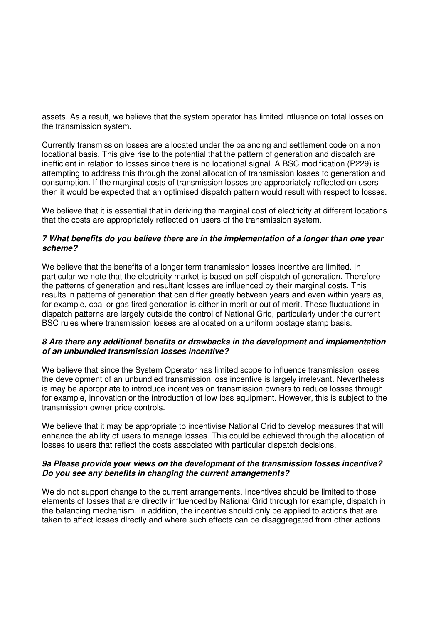assets. As a result, we believe that the system operator has limited influence on total losses on the transmission system.

Currently transmission losses are allocated under the balancing and settlement code on a non locational basis. This give rise to the potential that the pattern of generation and dispatch are inefficient in relation to losses since there is no locational signal. A BSC modification (P229) is attempting to address this through the zonal allocation of transmission losses to generation and consumption. If the marginal costs of transmission losses are appropriately reflected on users then it would be expected that an optimised dispatch pattern would result with respect to losses.

We believe that it is essential that in deriving the marginal cost of electricity at different locations that the costs are appropriately reflected on users of the transmission system.

#### **7 What benefits do you believe there are in the implementation of a longer than one year scheme?**

We believe that the benefits of a longer term transmission losses incentive are limited. In particular we note that the electricity market is based on self dispatch of generation. Therefore the patterns of generation and resultant losses are influenced by their marginal costs. This results in patterns of generation that can differ greatly between years and even within years as, for example, coal or gas fired generation is either in merit or out of merit. These fluctuations in dispatch patterns are largely outside the control of National Grid, particularly under the current BSC rules where transmission losses are allocated on a uniform postage stamp basis.

#### **8 Are there any additional benefits or drawbacks in the development and implementation of an unbundled transmission losses incentive?**

We believe that since the System Operator has limited scope to influence transmission losses the development of an unbundled transmission loss incentive is largely irrelevant. Nevertheless is may be appropriate to introduce incentives on transmission owners to reduce losses through for example, innovation or the introduction of low loss equipment. However, this is subject to the transmission owner price controls.

We believe that it may be appropriate to incentivise National Grid to develop measures that will enhance the ability of users to manage losses. This could be achieved through the allocation of losses to users that reflect the costs associated with particular dispatch decisions.

#### **9a Please provide your views on the development of the transmission losses incentive? Do you see any benefits in changing the current arrangements?**

We do not support change to the current arrangements. Incentives should be limited to those elements of losses that are directly influenced by National Grid through for example, dispatch in the balancing mechanism. In addition, the incentive should only be applied to actions that are taken to affect losses directly and where such effects can be disaggregated from other actions.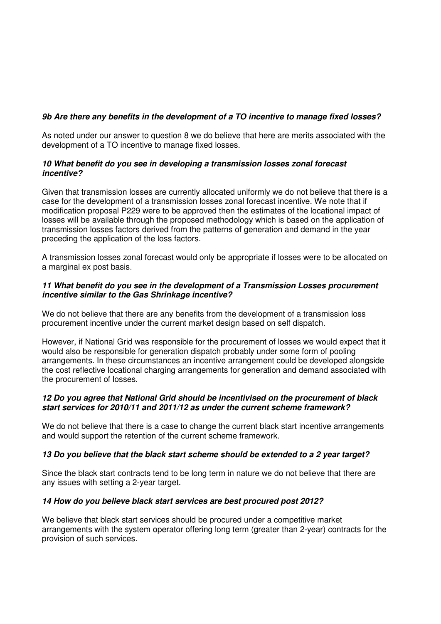# **9b Are there any benefits in the development of a TO incentive to manage fixed losses?**

As noted under our answer to question 8 we do believe that here are merits associated with the development of a TO incentive to manage fixed losses.

# **10 What benefit do you see in developing a transmission losses zonal forecast incentive?**

Given that transmission losses are currently allocated uniformly we do not believe that there is a case for the development of a transmission losses zonal forecast incentive. We note that if modification proposal P229 were to be approved then the estimates of the locational impact of losses will be available through the proposed methodology which is based on the application of transmission losses factors derived from the patterns of generation and demand in the year preceding the application of the loss factors.

A transmission losses zonal forecast would only be appropriate if losses were to be allocated on a marginal ex post basis.

# **11 What benefit do you see in the development of a Transmission Losses procurement incentive similar to the Gas Shrinkage incentive?**

We do not believe that there are any benefits from the development of a transmission loss procurement incentive under the current market design based on self dispatch.

However, if National Grid was responsible for the procurement of losses we would expect that it would also be responsible for generation dispatch probably under some form of pooling arrangements. In these circumstances an incentive arrangement could be developed alongside the cost reflective locational charging arrangements for generation and demand associated with the procurement of losses.

# **12 Do you agree that National Grid should be incentivised on the procurement of black start services for 2010/11 and 2011/12 as under the current scheme framework?**

We do not believe that there is a case to change the current black start incentive arrangements and would support the retention of the current scheme framework.

# **13 Do you believe that the black start scheme should be extended to a 2 year target?**

Since the black start contracts tend to be long term in nature we do not believe that there are any issues with setting a 2-year target.

# **14 How do you believe black start services are best procured post 2012?**

We believe that black start services should be procured under a competitive market arrangements with the system operator offering long term (greater than 2-year) contracts for the provision of such services.